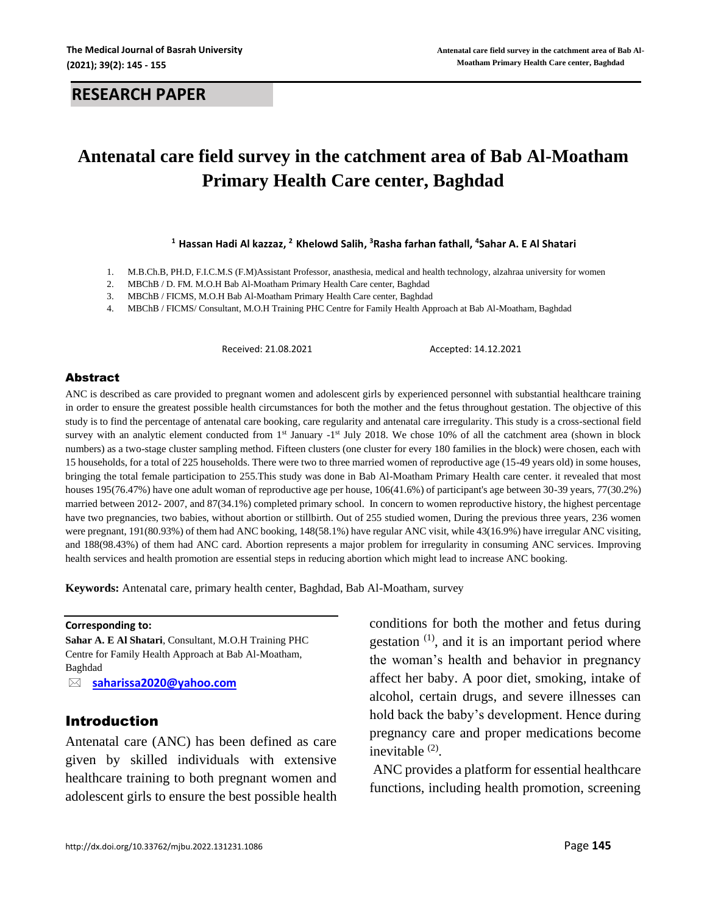# **Antenatal care field survey in the catchment area of Bab Al-Moatham Primary Health Care center, Baghdad**

**<sup>1</sup> Hassan Hadi Al kazzaz, <sup>2</sup> Khelowd Salih, <sup>3</sup>Rasha farhan fathall, <sup>4</sup>Sahar A. E Al Shatari**

- 1. M.B.Ch.B, PH.D, F.I.C.M.S (F.M)Assistant Professor, anasthesia, medical and health technology, alzahraa university for women
- 2. MBChB / D. FM*.* M.O.H Bab Al-Moatham Primary Health Care center, Baghdad
- 3. MBChB / FICMS*,* M.O.H Bab Al-Moatham Primary Health Care center, Baghdad
- 4. MBChB / FICMS/ Consultant*,* M.O.H Training PHC Centre for Family Health Approach at Bab Al-Moatham, Baghdad

Received: 21.08.2021 Accepted: 14.12.2021

#### Abstract

ANC is described as care provided to pregnant women and adolescent girls by experienced personnel with substantial healthcare training in order to ensure the greatest possible health circumstances for both the mother and the fetus throughout gestation. The objective of this study is to find the percentage of antenatal care booking, care regularity and antenatal care irregularity. This study is a cross-sectional field survey with an analytic element conducted from  $1<sup>st</sup>$  January  $-1<sup>st</sup>$  July 2018. We chose 10% of all the catchment area (shown in block numbers) as a two-stage cluster sampling method. Fifteen clusters (one cluster for every 180 families in the block) were chosen, each with 15 households, for a total of 225 households. There were two to three married women of reproductive age (15-49 years old) in some houses, bringing the total female participation to 255.This study was done in Bab Al-Moatham Primary Health care center. it revealed that most houses 195(76.47%) have one adult woman of reproductive age per house, 106(41.6%) of participant's age between 30-39 years, 77(30.2%) married between 2012- 2007, and 87(34.1%) completed primary school. In concern to women reproductive history, the highest percentage have two pregnancies, two babies, without abortion or stillbirth. Out of 255 studied women, During the previous three years, 236 women were pregnant, 191(80.93%) of them had ANC booking, 148(58.1%) have regular ANC visit, while 43(16.9%) have irregular ANC visiting, and 188(98.43%) of them had ANC card. Abortion represents a major problem for irregularity in consuming ANC services. Improving health services and health promotion are essential steps in reducing abortion which might lead to increase ANC booking.

**Keywords:** Antenatal care, primary health center, Baghdad, Bab Al-Moatham, survey

#### **Corresponding to:**

**Sahar A. E Al Shatari**, Consultant*,* M.O.H Training PHC Centre for Family Health Approach at Bab Al-Moatham, Baghdad

 **[saharissa2020@yahoo.com](mailto:saharissa2020@yahoo.com)**

### Introduction

Antenatal care (ANC) has been defined as care given by skilled individuals with extensive healthcare training to both pregnant women and adolescent girls to ensure the best possible health conditions for both the mother and fetus during gestation<sup>(1)</sup>, and it is an important period where the woman's health and behavior in pregnancy affect her baby. A poor diet, smoking, intake of alcohol, certain drugs, and severe illnesses can hold back the baby's development. Hence during pregnancy care and proper medications become inevitable  $(2)$ .

ANC provides a platform for essential healthcare functions, including health promotion, screening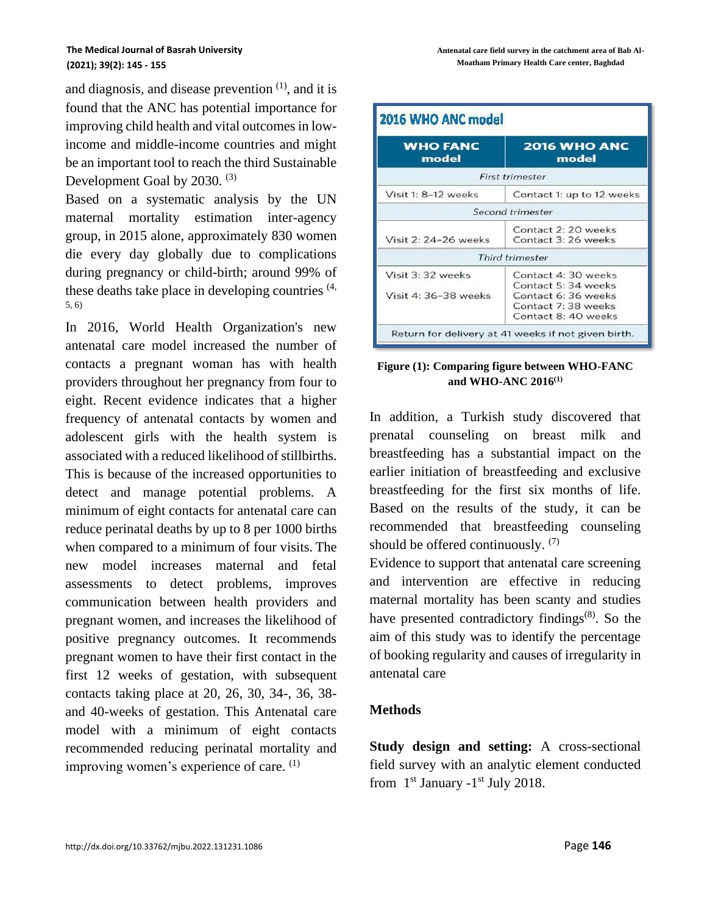and diagnosis, and disease prevention  $(1)$ , and it is found that the ANC has potential importance for improving child health and vital outcomes in lowincome and middle-income countries and might be an important tool to reach the third Sustainable Development Goal by 2030.<sup>(3)</sup>

Based on a systematic analysis by the UN maternal mortality estimation inter-agency group, in 2015 alone, approximately 830 women die every day globally due to complications during pregnancy or child-birth; around 99% of these deaths take place in developing countries  $(4, 4)$ 5, 6)

In 2016, World Health Organization's new antenatal care model increased the number of contacts a pregnant woman has with health providers throughout her pregnancy from four to eight. Recent evidence indicates that a higher frequency of antenatal contacts by women and adolescent girls with the health system is associated with a reduced likelihood of stillbirths. This is because of the increased opportunities to detect and manage potential problems. A minimum of eight contacts for antenatal care can reduce perinatal deaths by up to 8 per 1000 births when compared to a minimum of four visits. The new model increases maternal and fetal assessments to detect problems, improves communication between health providers and pregnant women, and increases the likelihood of positive pregnancy outcomes. It recommends pregnant women to have their first contact in the first 12 weeks of gestation, with subsequent contacts taking place at 20, 26, 30, 34-, 36, 38 and 40-weeks of gestation. This Antenatal care model with a minimum of eight contacts recommended reducing perinatal mortality and improving women's experience of care. <sup>(1)</sup>

| <b>WHO FANC</b><br>model                  | <b>2016 WHO ANC</b><br>model                                                                                   |
|-------------------------------------------|----------------------------------------------------------------------------------------------------------------|
|                                           | <b>First trimester</b>                                                                                         |
| Visit 1: 8-12 weeks                       | Contact 1: up to 12 weeks                                                                                      |
|                                           | Second trimester                                                                                               |
| Visit 2: 24-26 weeks                      | Contact 2: 20 weeks<br>Contact 3: 26 weeks                                                                     |
|                                           | <b>Third trimester</b>                                                                                         |
| Visit 3: 32 weeks<br>Visit 4: 36-38 weeks | Contact 4: 30 weeks<br>Contact 5: 34 weeks<br>Contact 6: 36 weeks<br>Contact 7:38 weeks<br>Contact 8: 40 weeks |

**Figure (1): Comparing figure between WHO-FANC and WHO-ANC 2016(1)**

In addition, a Turkish study discovered that prenatal counseling on breast milk and breastfeeding has a substantial impact on the earlier initiation of breastfeeding and exclusive breastfeeding for the first six months of life. Based on the results of the study, it can be recommended that breastfeeding counseling should be offered continuously.  $(7)$ 

Evidence to support that antenatal care screening and intervention are effective in reducing maternal mortality has been scanty and studies have presented contradictory findings $(8)$ . So the aim of this study was to identify the percentage of booking regularity and causes of irregularity in antenatal care

### **Methods**

**Study design and setting:** A cross-sectional field survey with an analytic element conducted from  $1<sup>st</sup>$  January  $-1<sup>st</sup>$  July 2018.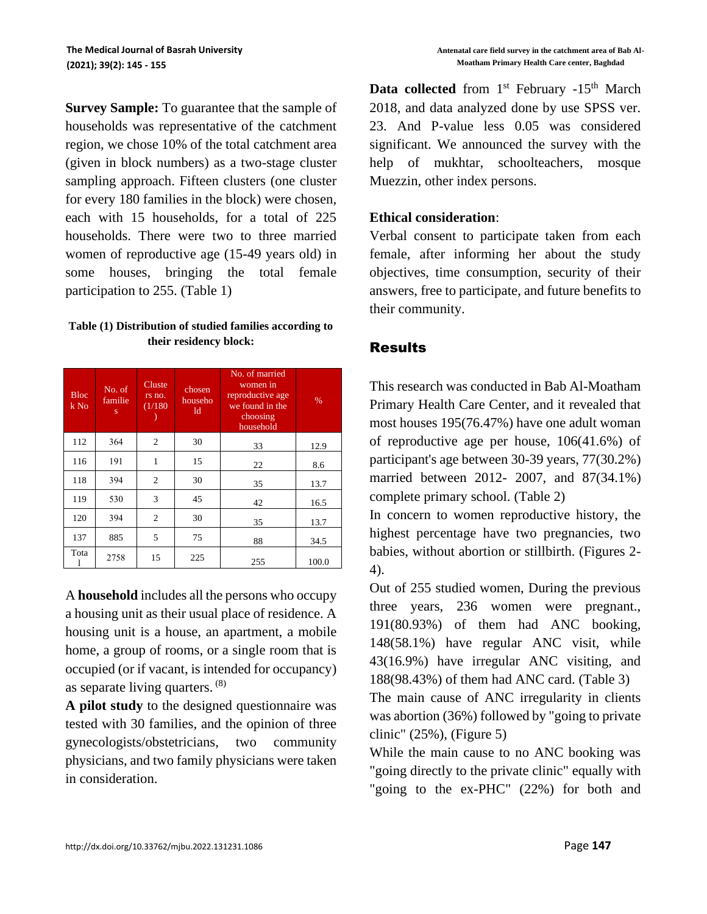**Survey Sample:** To guarantee that the sample of households was representative of the catchment region, we chose 10% of the total catchment area (given in block numbers) as a two-stage cluster sampling approach. Fifteen clusters (one cluster for every 180 families in the block) were chosen, each with 15 households, for a total of 225 households. There were two to three married women of reproductive age (15-49 years old) in some houses, bringing the total female participation to 255. (Table 1)

### **Table (1) Distribution of studied families according to their residency block:**

| <b>Bloc</b><br>$k$ No | No. of<br>familie<br>s | Cluste<br>rs no.<br>(1/180) | chosen<br>househo<br>ld | No. of married<br>women in<br>reproductive age<br>we found in the<br>choosing<br>household | $\%$  |
|-----------------------|------------------------|-----------------------------|-------------------------|--------------------------------------------------------------------------------------------|-------|
| 112                   | 364                    | $\overline{c}$              | 30                      | 33                                                                                         | 12.9  |
| 116                   | 191                    | 1                           | 15                      | 22                                                                                         | 8.6   |
| 118                   | 394                    | $\overline{c}$              | 30                      | 35                                                                                         | 13.7  |
| 119                   | 530                    | 3                           | 45                      | 42                                                                                         | 16.5  |
| 120                   | 394                    | $\overline{c}$              | 30                      | 35                                                                                         | 13.7  |
| 137                   | 885                    | 5                           | 75                      | 88                                                                                         | 34.5  |
| Tota                  | 2758                   | 15                          | 225                     | 255                                                                                        | 100.0 |

A **household** includes all the persons who occupy a housing unit as their usual place of residence. A housing unit is a house, an apartment, a mobile home, a group of rooms, or a single room that is occupied (or if vacant, is intended for occupancy) as separate living quarters. (8)

**A pilot study** to the designed questionnaire was tested with 30 families, and the opinion of three gynecologists/obstetricians, two community physicians, and two family physicians were taken in consideration.

**Data collected** from 1<sup>st</sup> February -15<sup>th</sup> March 2018, and data analyzed done by use SPSS ver. 23. And P-value less 0.05 was considered significant. We announced the survey with the help of mukhtar, schoolteachers, mosque Muezzin, other index persons.

## **Ethical consideration**:

Verbal consent to participate taken from each female, after informing her about the study objectives, time consumption, security of their answers, free to participate, and future benefits to their community.

# **Results**

This research was conducted in Bab Al-Moatham Primary Health Care Center, and it revealed that most houses 195(76.47%) have one adult woman of reproductive age per house, 106(41.6%) of participant's age between 30-39 years, 77(30.2%) married between 2012- 2007, and 87(34.1%) complete primary school. (Table 2)

In concern to women reproductive history, the highest percentage have two pregnancies, two babies, without abortion or stillbirth. (Figures 2- 4).

Out of 255 studied women, During the previous three years, 236 women were pregnant., 191(80.93%) of them had ANC booking, 148(58.1%) have regular ANC visit, while 43(16.9%) have irregular ANC visiting, and 188(98.43%) of them had ANC card. (Table 3)

The main cause of ANC irregularity in clients was abortion (36%) followed by "going to private clinic" (25%), (Figure 5)

While the main cause to no ANC booking was "going directly to the private clinic" equally with "going to the ex-PHC" (22%) for both and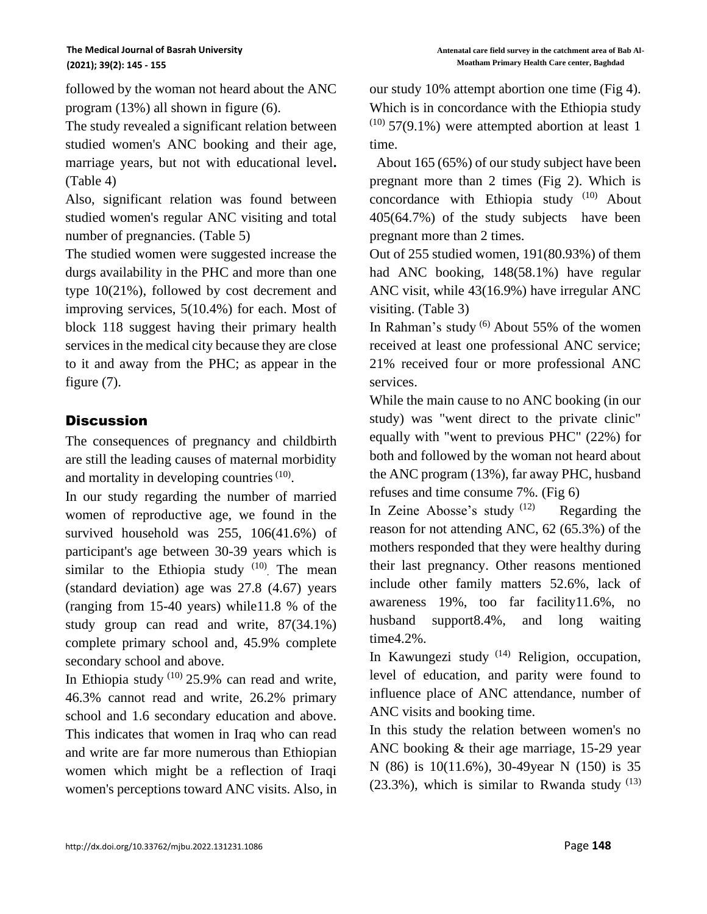followed by the woman not heard about the ANC program (13%) all shown in figure (6).

The study revealed a significant relation between studied women's ANC booking and their age, marriage years, but not with educational level**.** (Table 4)

Also, significant relation was found between studied women's regular ANC visiting and total number of pregnancies. (Table 5)

The studied women were suggested increase the durgs availability in the PHC and more than one type 10(21%), followed by cost decrement and improving services, 5(10.4%) for each. Most of block 118 suggest having their primary health services in the medical city because they are close to it and away from the PHC; as appear in the figure (7).

# **Discussion**

The consequences of pregnancy and childbirth are still the leading causes of maternal morbidity and mortality in developing countries  $(10)$ .

In our study regarding the number of married women of reproductive age, we found in the survived household was 255, 106(41.6%) of participant's age between 30-39 years which is similar to the Ethiopia study  $(10)$ . The mean (standard deviation) age was 27.8 (4.67) years (ranging from 15-40 years) while11.8 % of the study group can read and write, 87(34.1%) complete primary school and, 45.9% complete secondary school and above.

In Ethiopia study  $(10)$  25.9% can read and write, 46.3% cannot read and write, 26.2% primary school and 1.6 secondary education and above. This indicates that women in Iraq who can read and write are far more numerous than Ethiopian women which might be a reflection of Iraqi women's perceptions toward ANC visits. Also, in our study 10% attempt abortion one time (Fig 4). Which is in concordance with the Ethiopia study  $(10)$  57(9.1%) were attempted abortion at least 1 time.

 About 165 (65%) of our study subject have been pregnant more than 2 times (Fig 2). Which is concordance with Ethiopia study<sup>(10)</sup> About 405(64.7%) of the study subjects have been pregnant more than 2 times.

Out of 255 studied women, 191(80.93%) of them had ANC booking, 148(58.1%) have regular ANC visit, while 43(16.9%) have irregular ANC visiting. (Table 3)

In Rahman's study (6) About 55% of the women received at least one professional ANC service; 21% received four or more professional ANC services.

While the main cause to no ANC booking (in our study) was "went direct to the private clinic" equally with "went to previous PHC" (22%) for both and followed by the woman not heard about the ANC program (13%), far away PHC, husband refuses and time consume 7%. (Fig 6)

In Zeine Abosse's study  $(12)$  Regarding the reason for not attending ANC, 62 (65.3%) of the mothers responded that they were healthy during their last pregnancy. Other reasons mentioned include other family matters 52.6%, lack of awareness 19%, too far facility11.6%, no husband support8.4%, and long waiting time4.2%.

In Kawungezi study  $(14)$  Religion, occupation, level of education, and parity were found to influence place of ANC attendance, number of ANC visits and booking time.

In this study the relation between women's no ANC booking & their age marriage, 15-29 year N (86) is 10(11.6%), 30-49year N (150) is 35  $(23.3\%)$ , which is similar to Rwanda study  $^{(13)}$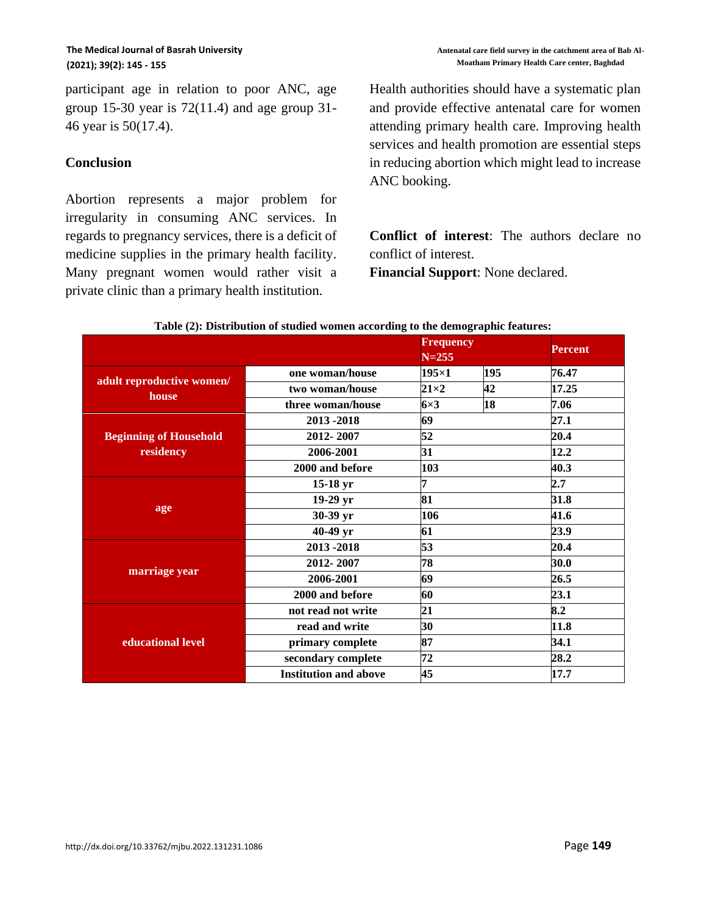participant age in relation to poor ANC, age group 15-30 year is  $72(11.4)$  and age group 31-46 year is 50(17.4).

### **Conclusion**

Abortion represents a major problem for irregularity in consuming ANC services. In regards to pregnancy services, there is a deficit of medicine supplies in the primary health facility. Many pregnant women would rather visit a private clinic than a primary health institution.

Health authorities should have a systematic plan and provide effective antenatal care for women attending primary health care. Improving health services and health promotion are essential steps in reducing abortion which might lead to increase ANC booking.

**Conflict of interest**: The authors declare no conflict of interest. **Financial Support**: None declared.

|                                    |                              | <b>Frequency</b><br>$N = 255$ |     | Percent |
|------------------------------------|------------------------------|-------------------------------|-----|---------|
|                                    | one woman/house              | $195\times1$                  | 195 | 76.47   |
| adult reproductive women/<br>house | two woman/house              | $21\times2$                   | 42  | 17.25   |
|                                    | three woman/house            | $6\times3$                    | 18  | 7.06    |
|                                    | 2013-2018                    | 69                            |     | 27.1    |
| <b>Beginning of Household</b>      | 2012-2007                    | 52                            |     | 20.4    |
| residency                          | 2006-2001                    | 31                            |     |         |
|                                    | 2000 and before              | 103                           |     | 40.3    |
|                                    | $15-18$ yr                   | 7                             |     | 2.7     |
|                                    | 19-29 yr                     | 81                            |     | 31.8    |
| age                                | 30-39 yr                     | 106                           |     | 41.6    |
|                                    | 40-49 yr                     | 61                            |     | 23.9    |
|                                    | 53<br>2013-2018              |                               |     | 20.4    |
|                                    | 2012-2007                    | 78                            |     | 30.0    |
| marriage year                      | 2006-2001                    | 69                            |     | 26.5    |
|                                    | 2000 and before              | 60                            |     | 23.1    |
|                                    | not read not write           | 21                            |     | 8.2     |
|                                    | read and write               | 30                            |     | 11.8    |
| educational level                  | primary complete             | 87                            |     | 34.1    |
|                                    | secondary complete           | 72                            |     |         |
|                                    | <b>Institution and above</b> | 45                            |     | 17.7    |

#### **Table (2): Distribution of studied women according to the demographic features:**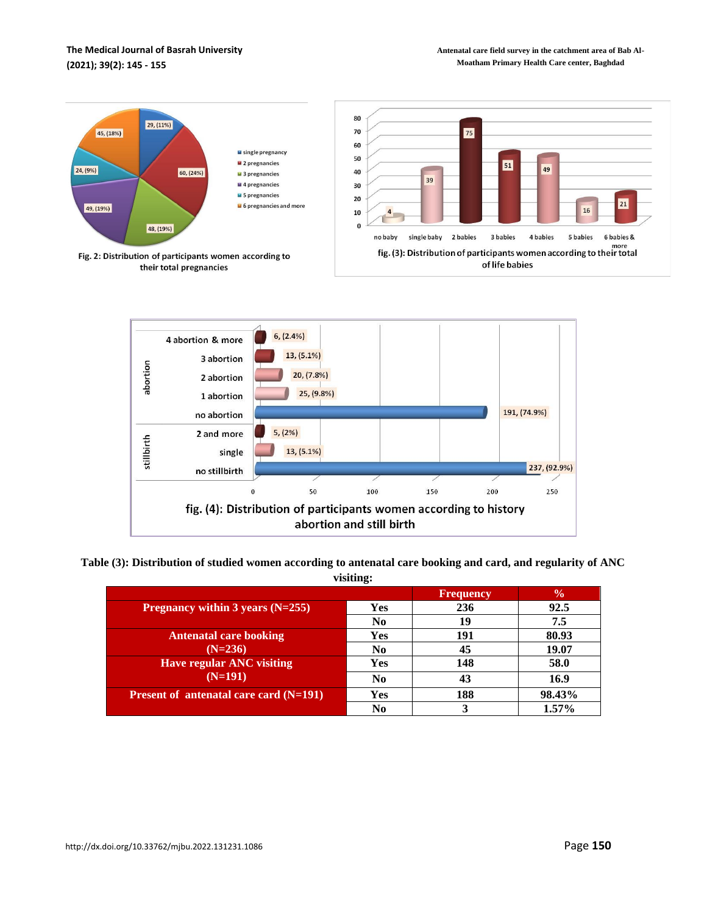#### **The Medical Journal of Basrah University (2021); 39(2): 145 - 155**





**Table (3): Distribution of studied women according to antenatal care booking and card, and regularity of ANC visiting:**

|                                                            |                | <b>Frequency</b> | $\frac{6}{9}$ |
|------------------------------------------------------------|----------------|------------------|---------------|
| Pregnancy within $3$ years (N=255)                         | Yes            | 236              | 92.5          |
|                                                            | N <sub>0</sub> | 19               | 7.5           |
| <b>Antenatal care booking</b>                              | Yes            | 191              | 80.93         |
| $(N=236)$                                                  | N <sub>0</sub> | 45               | 19.07         |
| <b>Have regular ANC visiting</b>                           | Yes            | 148              | 58.0          |
| $(N=191)$                                                  | N <sub>0</sub> | 43               | 16.9          |
| <b>Present of antenatal care card <math>(N=191)</math></b> | <b>Yes</b>     | 188              | 98.43%        |
|                                                            | No             |                  | $1.57\%$      |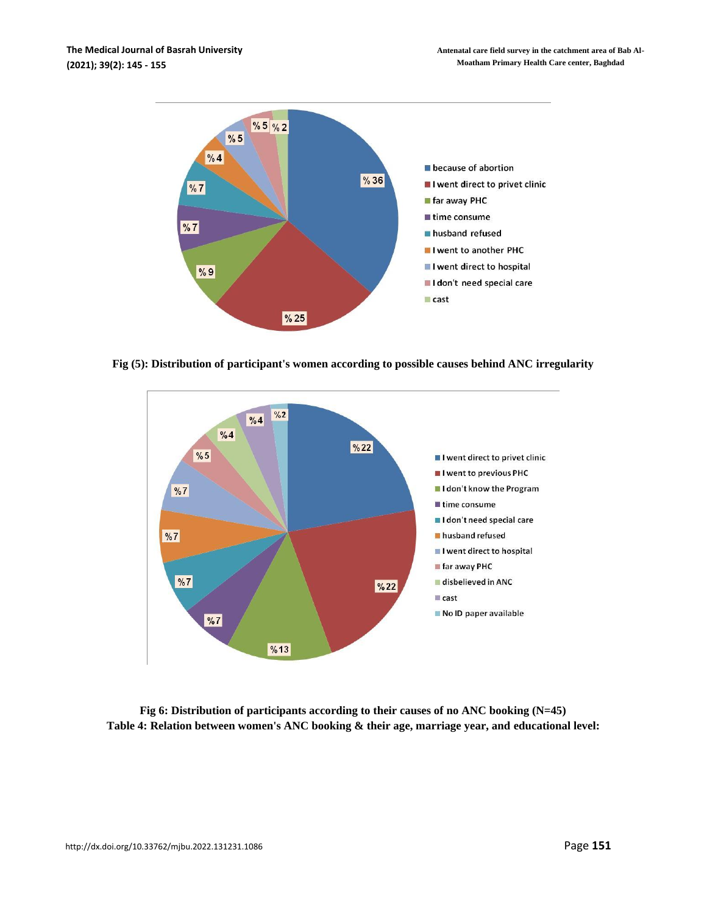

**Fig (5): Distribution of participant's women according to possible causes behind ANC irregularity**



**Fig 6: Distribution of participants according to their causes of no ANC booking (N=45) Table 4: Relation between women's ANC booking & their age, marriage year, and educational level:**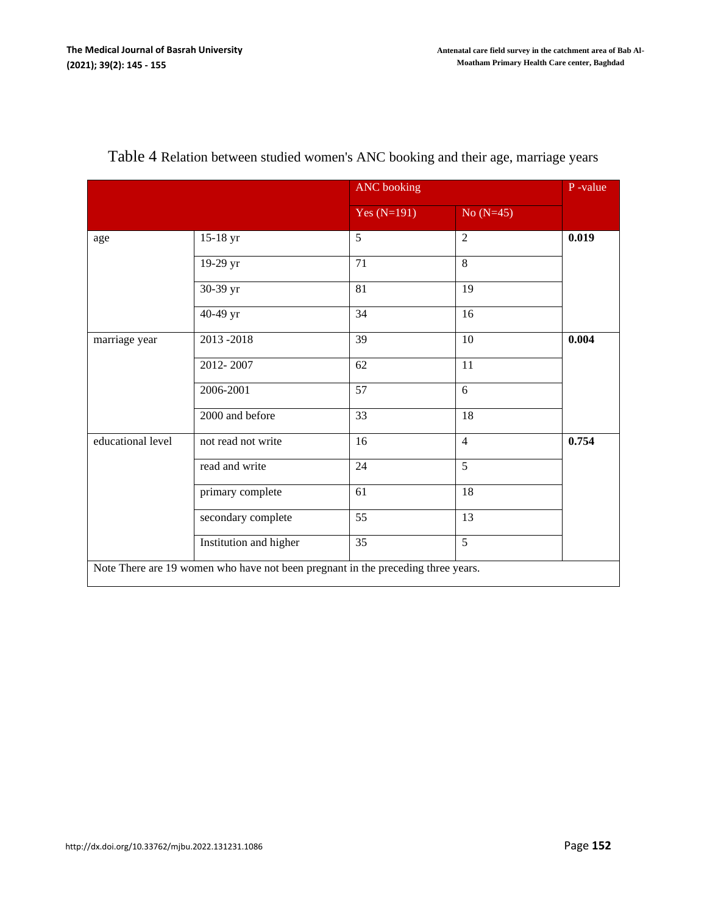|                   |                        | <b>ANC</b> booking |                | P-value |
|-------------------|------------------------|--------------------|----------------|---------|
|                   |                        | Yes $(N=191)$      | $No (N=45)$    |         |
| age               | 15-18 yr               | 5                  | $\overline{2}$ | 0.019   |
|                   | 19-29 yr               | 71                 | 8              |         |
|                   | 30-39 yr               | 81                 | 19             |         |
|                   | 40-49 yr               | 34                 | 16             |         |
| marriage year     | 2013-2018              | 39                 | 10             | 0.004   |
|                   | 2012-2007              | 62                 | 11             |         |
|                   | 2006-2001              | 57                 | 6              |         |
|                   | 2000 and before        | 33                 | 18             |         |
| educational level | not read not write     | 16                 | $\overline{4}$ | 0.754   |
|                   | read and write         | 24                 | 5              |         |
|                   | primary complete       | 61                 | 18             |         |
|                   | secondary complete     | 55                 | 13             |         |
|                   | Institution and higher | 35                 | $\overline{5}$ |         |

# Table 4 Relation between studied women's ANC booking and their age, marriage years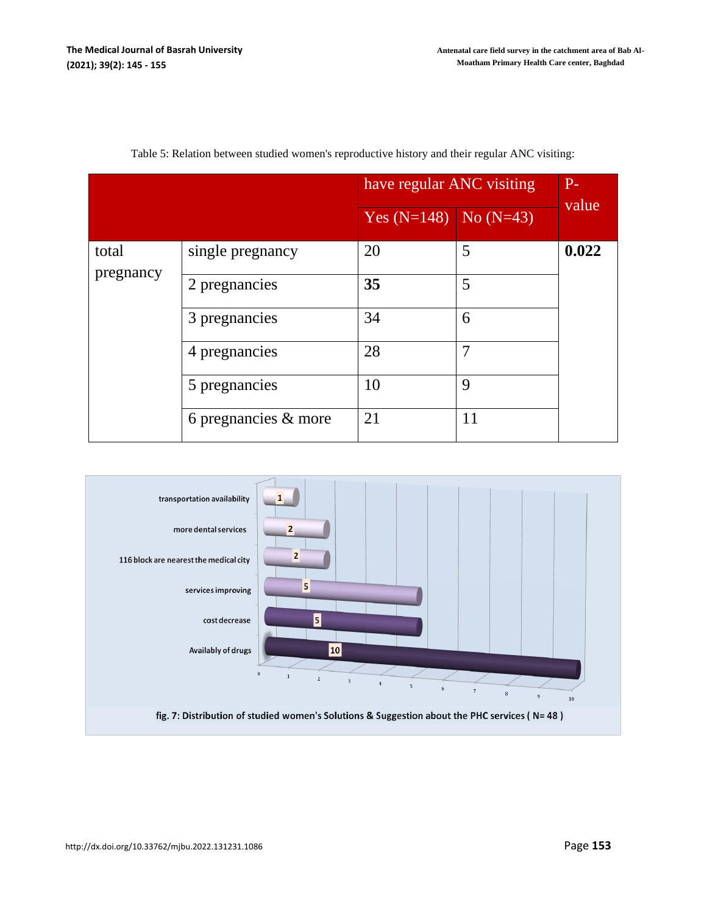|           |                         | have regular ANC visiting | $P-$ |       |
|-----------|-------------------------|---------------------------|------|-------|
|           |                         | Yes $(N=148)$ No $(N=43)$ |      | value |
| total     | single pregnancy        | 20                        | 5    | 0.022 |
| pregnancy | 2 pregnancies           | 35                        | 5    |       |
|           | 3 pregnancies           | 34                        | 6    |       |
|           | 4 pregnancies           | 28                        | 7    |       |
|           | 5 pregnancies           | 10                        | 9    |       |
|           | 6 pregnancies $\&$ more | 21                        | 11   |       |

| Table 5: Relation between studied women's reproductive history and their regular ANC visiting: |  |  |  |  |  |  |
|------------------------------------------------------------------------------------------------|--|--|--|--|--|--|
|------------------------------------------------------------------------------------------------|--|--|--|--|--|--|

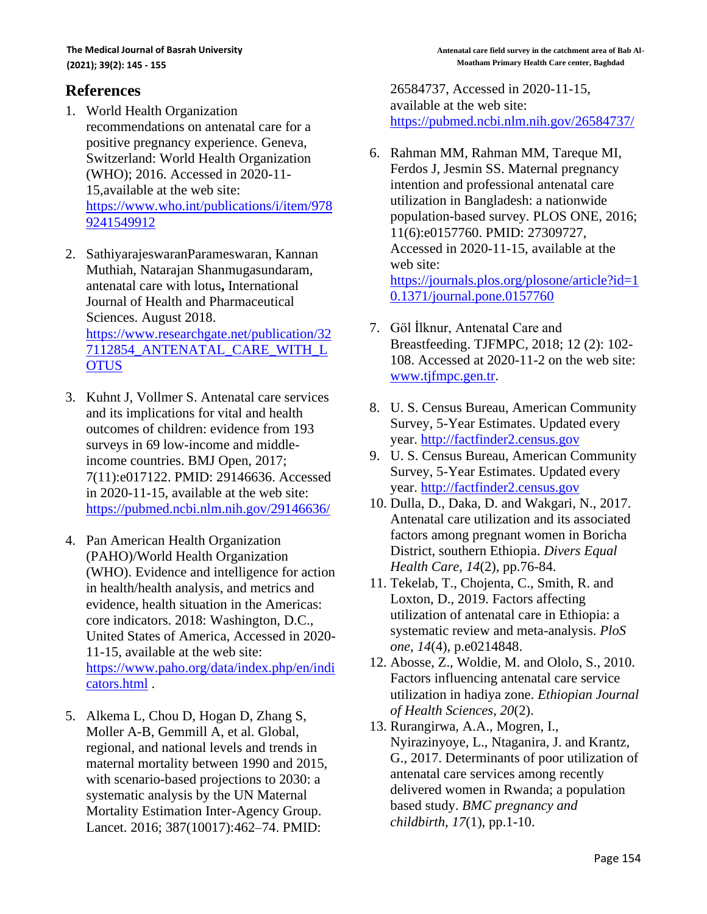# **References**

- 1. World Health Organization recommendations on antenatal care for a positive pregnancy experience. Geneva, Switzerland: World Health Organization (WHO); 2016. Accessed in 2020-11- 15,available at the web site: [https://www.who.int/publications/i/item/978](https://www.who.int/publications/i/item/9789241549912) [9241549912](https://www.who.int/publications/i/item/9789241549912)
- 2. SathiyarajeswaranParameswaran, Kannan Muthiah, Natarajan Shanmugasundaram, antenatal care with lotus**,** International Journal of Health and Pharmaceutical Sciences. August 2018. [https://www.researchgate.net/publication/32](https://www.researchgate.net/publication/327112854_ANTENATAL_CARE_WITH_LOTUS) [7112854\\_ANTENATAL\\_CARE\\_WITH\\_L](https://www.researchgate.net/publication/327112854_ANTENATAL_CARE_WITH_LOTUS) **[OTUS](https://www.researchgate.net/publication/327112854_ANTENATAL_CARE_WITH_LOTUS)**
- 3. Kuhnt J, Vollmer S. Antenatal care services and its implications for vital and health outcomes of children: evidence from 193 surveys in 69 low-income and middleincome countries. BMJ Open, 2017; 7(11):e017122. PMID: 29146636. Accessed in 2020-11-15, available at the web site: <https://pubmed.ncbi.nlm.nih.gov/29146636/>
- 4. Pan American Health Organization (PAHO)/World Health Organization (WHO). Evidence and intelligence for action in health/health analysis, and metrics and evidence, health situation in the Americas: core indicators. 2018: Washington, D.C., United States of America, Accessed in 2020- 11-15, available at the web site: [https://www.paho.org/data/index.php/en/indi](https://www.paho.org/data/index.php/en/indicators.html) [cators.html](https://www.paho.org/data/index.php/en/indicators.html) .
- 5. Alkema L, Chou D, Hogan D, Zhang S, Moller A-B, Gemmill A, et al. Global, regional, and national levels and trends in maternal mortality between 1990 and 2015, with scenario-based projections to 2030: a systematic analysis by the UN Maternal Mortality Estimation Inter-Agency Group. Lancet. 2016; 387(10017):462–74. PMID:

26584737, Accessed in 2020-11-15, available at the web site: <https://pubmed.ncbi.nlm.nih.gov/26584737/>

- 6. Rahman MM, Rahman MM, Tareque MI, Ferdos J, Jesmin SS. Maternal pregnancy intention and professional antenatal care utilization in Bangladesh: a nationwide population-based survey. PLOS ONE, 2016; 11(6):e0157760. PMID: 27309727, Accessed in 2020-11-15, available at the web site: [https://journals.plos.org/plosone/article?id=1](https://journals.plos.org/plosone/article?id=10.1371/journal.pone.0157760) [0.1371/journal.pone.0157760](https://journals.plos.org/plosone/article?id=10.1371/journal.pone.0157760)
- 7. Göl İlknur, Antenatal Care and Breastfeeding. TJFMPC, 2018; 12 (2): 102- 108. Accessed at 2020-11-2 on the web site: [www.tjfmpc.gen.tr.](http://www.tjfmpc.gen.tr/)
- 8. U. S. Census Bureau, American Community Survey, 5-Year Estimates. Updated every year. [http://factfinder2.census.gov](https://web.archive.org/web/20150427051753/http:/factfinder2.census.gov/)
- 9. U. S. Census Bureau, American Community Survey, 5-Year Estimates. Updated every year. [http://factfinder2.census.gov](https://web.archive.org/web/20150427051753/http:/factfinder2.census.gov/)
- 10. Dulla, D., Daka, D. and Wakgari, N., 2017. Antenatal care utilization and its associated factors among pregnant women in Boricha District, southern Ethiopia. *Divers Equal Health Care*, *14*(2), pp.76-84.
- 11. Tekelab, T., Chojenta, C., Smith, R. and Loxton, D., 2019. Factors affecting utilization of antenatal care in Ethiopia: a systematic review and meta-analysis. *PloS one*, *14*(4), p.e0214848.
- 12. Abosse, Z., Woldie, M. and Ololo, S., 2010. Factors influencing antenatal care service utilization in hadiya zone. *Ethiopian Journal of Health Sciences*, *20*(2).
- 13. Rurangirwa, A.A., Mogren, I., Nyirazinyoye, L., Ntaganira, J. and Krantz, G., 2017. Determinants of poor utilization of antenatal care services among recently delivered women in Rwanda; a population based study. *BMC pregnancy and childbirth*, *17*(1), pp.1-10.